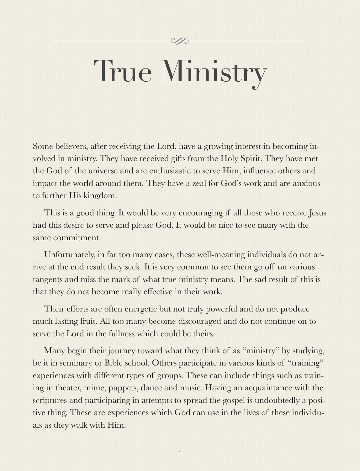#### Y.

# True Ministry

Some believers, after receiving the Lord, have a growing interest in becoming involved in ministry. They have received gifts from the Holy Spirit. They have met the God of the universe and are enthusiastic to serve Him, influence others and impact the world around them. They have a zeal for God's work and are anxious to further His kingdom.

This is a good thing. It would be very encouraging if all those who receive Jesus had this desire to serve and please God. It would be nice to see many with the same commitment.

Unfortunately, in far too many cases, these well-meaning individuals do not arrive at the end result they seek. It is very common to see them go off on various tangents and miss the mark of what true ministry means. The sad result of this is that they do not become really effective in their work.

Their efforts are often energetic but not truly powerful and do not produce much lasting fruit. All too many become discouraged and do not continue on to serve the Lord in the fullness which could be theirs.

Many begin their journey toward what they think of as "ministry" by studying, be it in seminary or Bible school. Others participate in various kinds of "training" experiences with different types of groups. These can include things such as training in theater, mime, puppets, dance and music. Having an acquaintance with the scriptures and participating in attempts to spread the gospel is undoubtedly a positive thing. These are experiences which God can use in the lives of these individuals as they walk with Him.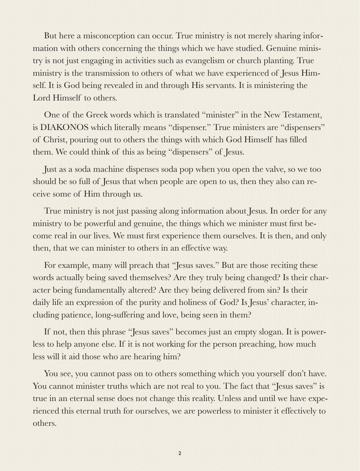But here a misconception can occur. True ministry is not merely sharing information with others concerning the things which we have studied. Genuine ministry is not just engaging in activities such as evangelism or church planting. True ministry is the transmission to others of what we have experienced of Jesus Himself. It is God being revealed in and through His servants. It is ministering the Lord Himself to others.

One of the Greek words which is translated "minister" in the New Testament, is DIAKONOS which literally means "dispenser." True ministers are "dispensers" of Christ, pouring out to others the things with which God Himself has filled them. We could think of this as being "dispensers" of Jesus.

Just as a soda machine dispenses soda pop when you open the valve, so we too should be so full of Jesus that when people are open to us, then they also can receive some of Him through us.

True ministry is not just passing along information about Jesus. In order for any ministry to be powerful and genuine, the things which we minister must first become real in our lives. We must first experience them ourselves. It is then, and only then, that we can minister to others in an effective way.

For example, many will preach that "Jesus saves." But are those reciting these words actually being saved themselves? Are they truly being changed? Is their character being fundamentally altered? Are they being delivered from sin? Is their daily life an expression of the purity and holiness of God? Is Jesus' character, including patience, long-suffering and love, being seen in them?

If not, then this phrase "Jesus saves" becomes just an empty slogan. It is powerless to help anyone else. If it is not working for the person preaching, how much less will it aid those who are hearing him?

You see, you cannot pass on to others something which you yourself don't have. You cannot minister truths which are not real to you. The fact that "Jesus saves" is true in an eternal sense does not change this reality. Unless and until we have experienced this eternal truth for ourselves, we are powerless to minister it effectively to others.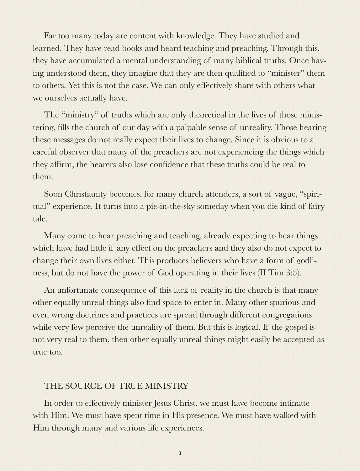Far too many today are content with knowledge. They have studied and learned. They have read books and heard teaching and preaching. Through this, they have accumulated a mental understanding of many biblical truths. Once having understood them, they imagine that they are then qualified to "minister" them to others. Yet this is not the case. We can only effectively share with others what we ourselves actually have.

The "ministry" of truths which are only theoretical in the lives of those ministering, fills the church of our day with a palpable sense of unreality. Those hearing these messages do not really expect their lives to change. Since it is obvious to a careful observer that many of the preachers are not experiencing the things which they affirm, the hearers also lose confidence that these truths could be real to them.

Soon Christianity becomes, for many church attenders, a sort of vague, "spiritual" experience. It turns into a pie-in-the-sky someday when you die kind of fairy tale.

Many come to hear preaching and teaching, already expecting to hear things which have had little if any effect on the preachers and they also do not expect to change their own lives either. This produces believers who have a form of godliness, but do not have the power of God operating in their lives (II Tim 3:5).

An unfortunate consequence of this lack of reality in the church is that many other equally unreal things also find space to enter in. Many other spurious and even wrong doctrines and practices are spread through different congregations while very few perceive the unreality of them. But this is logical. If the gospel is not very real to them, then other equally unreal things might easily be accepted as true too.

#### THE SOURCE OF TRUE MINISTRY

In order to effectively minister Jesus Christ, we must have become intimate with Him. We must have spent time in His presence. We must have walked with Him through many and various life experiences.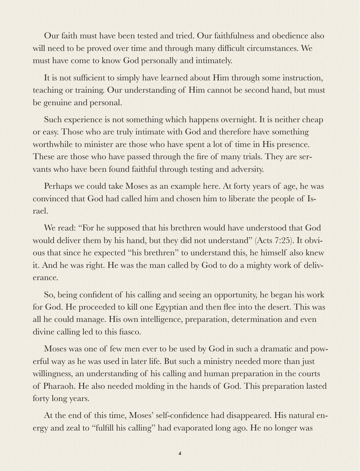Our faith must have been tested and tried. Our faithfulness and obedience also will need to be proved over time and through many difficult circumstances. We must have come to know God personally and intimately.

It is not sufficient to simply have learned about Him through some instruction, teaching or training. Our understanding of Him cannot be second hand, but must be genuine and personal.

Such experience is not something which happens overnight. It is neither cheap or easy. Those who are truly intimate with God and therefore have something worthwhile to minister are those who have spent a lot of time in His presence. These are those who have passed through the fire of many trials. They are servants who have been found faithful through testing and adversity.

Perhaps we could take Moses as an example here. At forty years of age, he was convinced that God had called him and chosen him to liberate the people of Israel.

We read: "For he supposed that his brethren would have understood that God would deliver them by his hand, but they did not understand" (Acts 7:25). It obvious that since he expected "his brethren" to understand this, he himself also knew it. And he was right. He was the man called by God to do a mighty work of deliverance.

So, being confident of his calling and seeing an opportunity, he began his work for God. He proceeded to kill one Egyptian and then flee into the desert. This was all he could manage. His own intelligence, preparation, determination and even divine calling led to this fiasco.

Moses was one of few men ever to be used by God in such a dramatic and powerful way as he was used in later life. But such a ministry needed more than just willingness, an understanding of his calling and human preparation in the courts of Pharaoh. He also needed molding in the hands of God. This preparation lasted forty long years.

At the end of this time, Moses' self-confidence had disappeared. His natural energy and zeal to "fulfill his calling" had evaporated long ago. He no longer was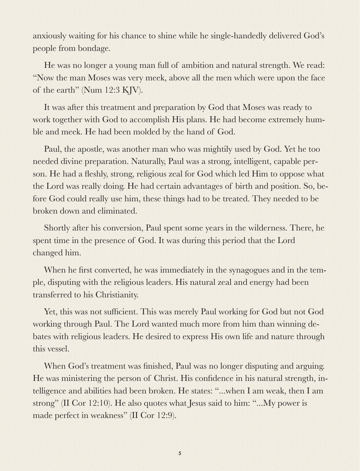anxiously waiting for his chance to shine while he single-handedly delivered God's people from bondage.

He was no longer a young man full of ambition and natural strength. We read: "Now the man Moses was very meek, above all the men which were upon the face of the earth" (Num 12:3 KJV).

It was after this treatment and preparation by God that Moses was ready to work together with God to accomplish His plans. He had become extremely humble and meek. He had been molded by the hand of God.

Paul, the apostle, was another man who was mightily used by God. Yet he too needed divine preparation. Naturally, Paul was a strong, intelligent, capable person. He had a fleshly, strong, religious zeal for God which led Him to oppose what the Lord was really doing. He had certain advantages of birth and position. So, before God could really use him, these things had to be treated. They needed to be broken down and eliminated.

Shortly after his conversion, Paul spent some years in the wilderness. There, he spent time in the presence of God. It was during this period that the Lord changed him.

When he first converted, he was immediately in the synagogues and in the temple, disputing with the religious leaders. His natural zeal and energy had been transferred to his Christianity.

Yet, this was not sufficient. This was merely Paul working for God but not God working through Paul. The Lord wanted much more from him than winning debates with religious leaders. He desired to express His own life and nature through this vessel.

When God's treatment was finished, Paul was no longer disputing and arguing. He was ministering the person of Christ. His confidence in his natural strength, intelligence and abilities had been broken. He states: "...when I am weak, then I am strong" (II Cor 12:10). He also quotes what Jesus said to him: "...My power is made perfect in weakness" (II Cor 12:9).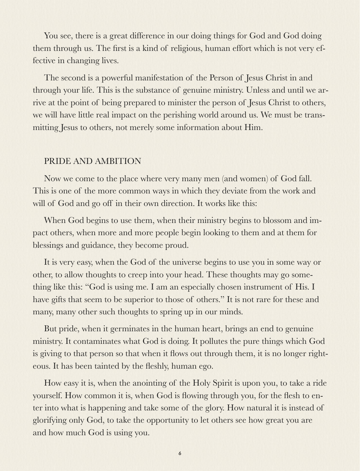You see, there is a great difference in our doing things for God and God doing them through us. The first is a kind of religious, human effort which is not very effective in changing lives.

The second is a powerful manifestation of the Person of Jesus Christ in and through your life. This is the substance of genuine ministry. Unless and until we arrive at the point of being prepared to minister the person of Jesus Christ to others, we will have little real impact on the perishing world around us. We must be transmitting Jesus to others, not merely some information about Him.

### PRIDE AND AMBITION

Now we come to the place where very many men (and women) of God fall. This is one of the more common ways in which they deviate from the work and will of God and go off in their own direction. It works like this:

When God begins to use them, when their ministry begins to blossom and impact others, when more and more people begin looking to them and at them for blessings and guidance, they become proud.

It is very easy, when the God of the universe begins to use you in some way or other, to allow thoughts to creep into your head. These thoughts may go something like this: "God is using me. I am an especially chosen instrument of His. I have gifts that seem to be superior to those of others." It is not rare for these and many, many other such thoughts to spring up in our minds.

But pride, when it germinates in the human heart, brings an end to genuine ministry. It contaminates what God is doing. It pollutes the pure things which God is giving to that person so that when it flows out through them, it is no longer righteous. It has been tainted by the fleshly, human ego.

How easy it is, when the anointing of the Holy Spirit is upon you, to take a ride yourself. How common it is, when God is flowing through you, for the flesh to enter into what is happening and take some of the glory. How natural it is instead of glorifying only God, to take the opportunity to let others see how great you are and how much God is using you.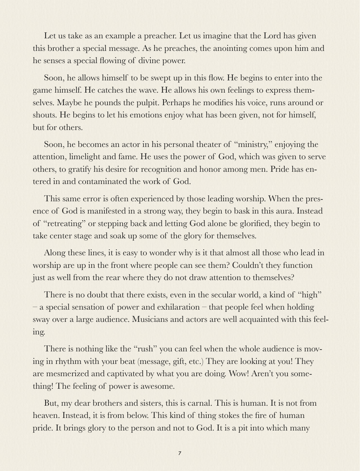Let us take as an example a preacher. Let us imagine that the Lord has given this brother a special message. As he preaches, the anointing comes upon him and he senses a special flowing of divine power.

Soon, he allows himself to be swept up in this flow. He begins to enter into the game himself. He catches the wave. He allows his own feelings to express themselves. Maybe he pounds the pulpit. Perhaps he modifies his voice, runs around or shouts. He begins to let his emotions enjoy what has been given, not for himself, but for others.

Soon, he becomes an actor in his personal theater of "ministry," enjoying the attention, limelight and fame. He uses the power of God, which was given to serve others, to gratify his desire for recognition and honor among men. Pride has entered in and contaminated the work of God.

This same error is often experienced by those leading worship. When the presence of God is manifested in a strong way, they begin to bask in this aura. Instead of "retreating" or stepping back and letting God alone be glorified, they begin to take center stage and soak up some of the glory for themselves.

Along these lines, it is easy to wonder why is it that almost all those who lead in worship are up in the front where people can see them? Couldn't they function just as well from the rear where they do not draw attention to themselves?

There is no doubt that there exists, even in the secular world, a kind of "high" – a special sensation of power and exhilaration – that people feel when holding sway over a large audience. Musicians and actors are well acquainted with this feeling.

There is nothing like the "rush" you can feel when the whole audience is moving in rhythm with your beat (message, gift, etc.) They are looking at you! They are mesmerized and captivated by what you are doing. Wow! Aren't you something! The feeling of power is awesome.

But, my dear brothers and sisters, this is carnal. This is human. It is not from heaven. Instead, it is from below. This kind of thing stokes the fire of human pride. It brings glory to the person and not to God. It is a pit into which many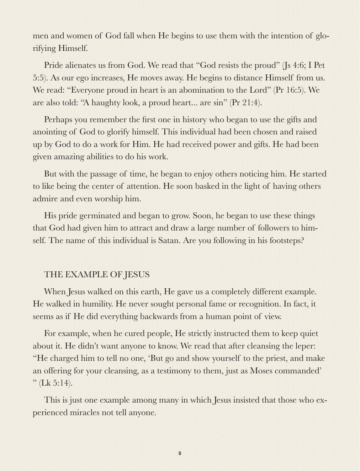men and women of God fall when He begins to use them with the intention of glorifying Himself.

Pride alienates us from God. We read that "God resists the proud" (Js 4:6; I Pet 5:5). As our ego increases, He moves away. He begins to distance Himself from us. We read: "Everyone proud in heart is an abomination to the Lord" (Pr 16:5). We are also told: "A haughty look, a proud heart... are sin" (Pr 21:4).

Perhaps you remember the first one in history who began to use the gifts and anointing of God to glorify himself. This individual had been chosen and raised up by God to do a work for Him. He had received power and gifts. He had been given amazing abilities to do his work.

But with the passage of time, he began to enjoy others noticing him. He started to like being the center of attention. He soon basked in the light of having others admire and even worship him.

His pride germinated and began to grow. Soon, he began to use these things that God had given him to attract and draw a large number of followers to himself. The name of this individual is Satan. Are you following in his footsteps?

## THE EXAMPLE OF JESUS

When Jesus walked on this earth, He gave us a completely different example. He walked in humility. He never sought personal fame or recognition. In fact, it seems as if He did everything backwards from a human point of view.

For example, when he cured people, He strictly instructed them to keep quiet about it. He didn't want anyone to know. We read that after cleansing the leper: "He charged him to tell no one, 'But go and show yourself to the priest, and make an offering for your cleansing, as a testimony to them, just as Moses commanded'  $"$  (Lk 5:14).

This is just one example among many in which Jesus insisted that those who experienced miracles not tell anyone.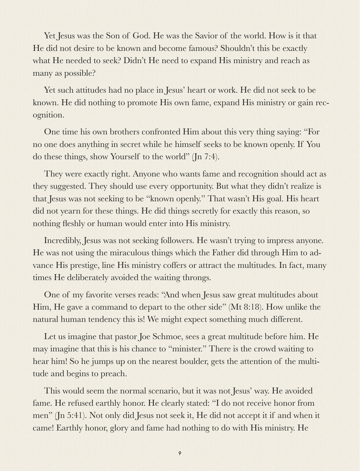Yet Jesus was the Son of God. He was the Savior of the world. How is it that He did not desire to be known and become famous? Shouldn't this be exactly what He needed to seek? Didn't He need to expand His ministry and reach as many as possible?

Yet such attitudes had no place in Jesus' heart or work. He did not seek to be known. He did nothing to promote His own fame, expand His ministry or gain recognition.

One time his own brothers confronted Him about this very thing saying: "For no one does anything in secret while he himself seeks to be known openly. If You do these things, show Yourself to the world" (Jn 7:4).

They were exactly right. Anyone who wants fame and recognition should act as they suggested. They should use every opportunity. But what they didn't realize is that Jesus was not seeking to be "known openly." That wasn't His goal. His heart did not yearn for these things. He did things secretly for exactly this reason, so nothing fleshly or human would enter into His ministry.

Incredibly, Jesus was not seeking followers. He wasn't trying to impress anyone. He was not using the miraculous things which the Father did through Him to advance His prestige, line His ministry coffers or attract the multitudes. In fact, many times He deliberately avoided the waiting throngs.

One of my favorite verses reads: "And when Jesus saw great multitudes about Him, He gave a command to depart to the other side" (Mt 8:18). How unlike the natural human tendency this is! We might expect something much different.

Let us imagine that pastor Joe Schmoe, sees a great multitude before him. He may imagine that this is his chance to "minister." There is the crowd waiting to hear him! So he jumps up on the nearest boulder, gets the attention of the multitude and begins to preach.

This would seem the normal scenario, but it was not Jesus' way. He avoided fame. He refused earthly honor. He clearly stated: "I do not receive honor from men" (Jn 5:41). Not only did Jesus not seek it, He did not accept it if and when it came! Earthly honor, glory and fame had nothing to do with His ministry. He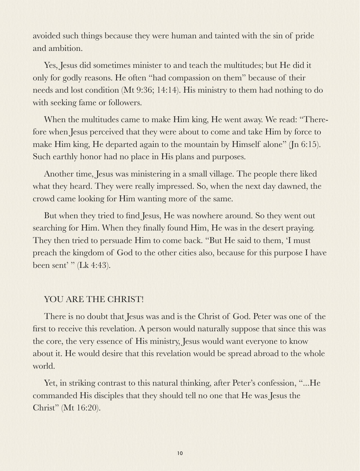avoided such things because they were human and tainted with the sin of pride and ambition.

Yes, Jesus did sometimes minister to and teach the multitudes; but He did it only for godly reasons. He often "had compassion on them" because of their needs and lost condition (Mt 9:36; 14:14). His ministry to them had nothing to do with seeking fame or followers.

When the multitudes came to make Him king, He went away. We read: "Therefore when Jesus perceived that they were about to come and take Him by force to make Him king, He departed again to the mountain by Himself alone" (Jn 6:15). Such earthly honor had no place in His plans and purposes.

Another time, Jesus was ministering in a small village. The people there liked what they heard. They were really impressed. So, when the next day dawned, the crowd came looking for Him wanting more of the same.

But when they tried to find Jesus, He was nowhere around. So they went out searching for Him. When they finally found Him, He was in the desert praying. They then tried to persuade Him to come back. "But He said to them, 'I must preach the kingdom of God to the other cities also, because for this purpose I have been sent' " (Lk 4:43).

## YOU ARE THE CHRIST!

There is no doubt that Jesus was and is the Christ of God. Peter was one of the first to receive this revelation. A person would naturally suppose that since this was the core, the very essence of His ministry, Jesus would want everyone to know about it. He would desire that this revelation would be spread abroad to the whole world.

Yet, in striking contrast to this natural thinking, after Peter's confession, "...He commanded His disciples that they should tell no one that He was Jesus the Christ" (Mt 16:20).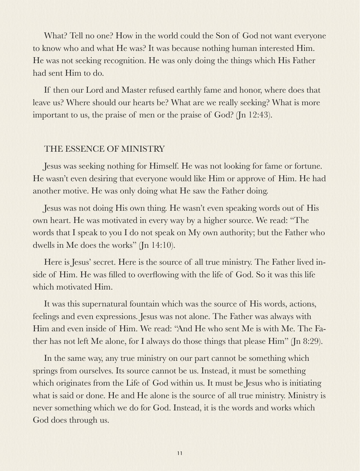What? Tell no one? How in the world could the Son of God not want everyone to know who and what He was? It was because nothing human interested Him. He was not seeking recognition. He was only doing the things which His Father had sent Him to do.

If then our Lord and Master refused earthly fame and honor, where does that leave us? Where should our hearts be? What are we really seeking? What is more important to us, the praise of men or the praise of God? (Jn 12:43).

## THE ESSENCE OF MINISTRY

Jesus was seeking nothing for Himself. He was not looking for fame or fortune. He wasn't even desiring that everyone would like Him or approve of Him. He had another motive. He was only doing what He saw the Father doing.

Jesus was not doing His own thing. He wasn't even speaking words out of His own heart. He was motivated in every way by a higher source. We read: "The words that I speak to you I do not speak on My own authority; but the Father who dwells in Me does the works" (Jn 14:10).

Here is Jesus' secret. Here is the source of all true ministry. The Father lived inside of Him. He was filled to overflowing with the life of God. So it was this life which motivated Him.

It was this supernatural fountain which was the source of His words, actions, feelings and even expressions. Jesus was not alone. The Father was always with Him and even inside of Him. We read: "And He who sent Me is with Me. The Father has not left Me alone, for I always do those things that please Him" (Jn 8:29).

In the same way, any true ministry on our part cannot be something which springs from ourselves. Its source cannot be us. Instead, it must be something which originates from the Life of God within us. It must be Jesus who is initiating what is said or done. He and He alone is the source of all true ministry. Ministry is never something which we do for God. Instead, it is the words and works which God does through us.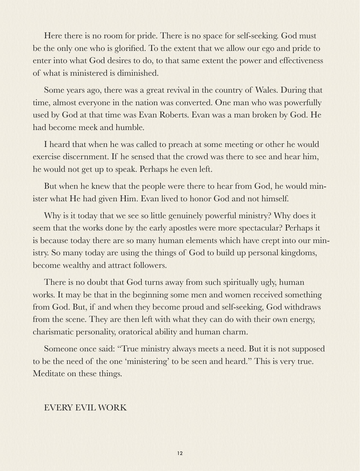Here there is no room for pride. There is no space for self-seeking. God must be the only one who is glorified. To the extent that we allow our ego and pride to enter into what God desires to do, to that same extent the power and effectiveness of what is ministered is diminished.

Some years ago, there was a great revival in the country of Wales. During that time, almost everyone in the nation was converted. One man who was powerfully used by God at that time was Evan Roberts. Evan was a man broken by God. He had become meek and humble.

I heard that when he was called to preach at some meeting or other he would exercise discernment. If he sensed that the crowd was there to see and hear him, he would not get up to speak. Perhaps he even left.

But when he knew that the people were there to hear from God, he would minister what He had given Him. Evan lived to honor God and not himself.

Why is it today that we see so little genuinely powerful ministry? Why does it seem that the works done by the early apostles were more spectacular? Perhaps it is because today there are so many human elements which have crept into our ministry. So many today are using the things of God to build up personal kingdoms, become wealthy and attract followers.

There is no doubt that God turns away from such spiritually ugly, human works. It may be that in the beginning some men and women received something from God. But, if and when they become proud and self-seeking, God withdraws from the scene. They are then left with what they can do with their own energy, charismatic personality, oratorical ability and human charm.

Someone once said: "True ministry always meets a need. But it is not supposed to be the need of the one 'ministering' to be seen and heard." This is very true. Meditate on these things.

#### EVERY EVIL WORK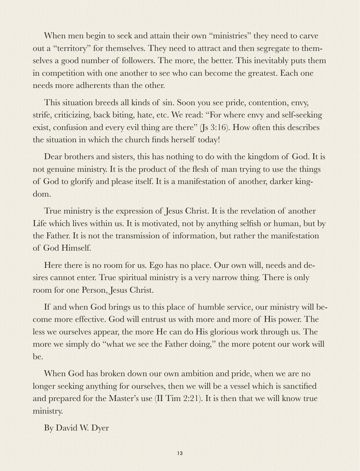When men begin to seek and attain their own "ministries" they need to carve out a "territory" for themselves. They need to attract and then segregate to themselves a good number of followers. The more, the better. This inevitably puts them in competition with one another to see who can become the greatest. Each one needs more adherents than the other.

This situation breeds all kinds of sin. Soon you see pride, contention, envy, strife, criticizing, back biting, hate, etc. We read: "For where envy and self-seeking exist, confusion and every evil thing are there" (Js 3:16). How often this describes the situation in which the church finds herself today!

Dear brothers and sisters, this has nothing to do with the kingdom of God. It is not genuine ministry. It is the product of the flesh of man trying to use the things of God to glorify and please itself. It is a manifestation of another, darker kingdom.

True ministry is the expression of Jesus Christ. It is the revelation of another Life which lives within us. It is motivated, not by anything selfish or human, but by the Father. It is not the transmission of information, but rather the manifestation of God Himself.

Here there is no room for us. Ego has no place. Our own will, needs and desires cannot enter. True spiritual ministry is a very narrow thing. There is only room for one Person, Jesus Christ.

If and when God brings us to this place of humble service, our ministry will become more effective. God will entrust us with more and more of His power. The less we ourselves appear, the more He can do His glorious work through us. The more we simply do "what we see the Father doing," the more potent our work will be.

When God has broken down our own ambition and pride, when we are no longer seeking anything for ourselves, then we will be a vessel which is sanctified and prepared for the Master's use (II Tim 2:21). It is then that we will know true ministry.

By David W. Dyer